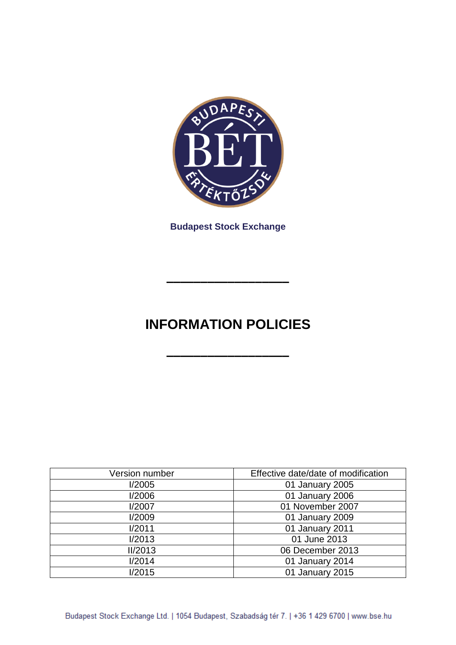

**Budapest Stock Exchange**

# **INFORMATION POLICIES**

**––––––––––––––––––**

**––––––––––––––––––**

| Version number | Effective date/date of modification |  |  |  |  |
|----------------|-------------------------------------|--|--|--|--|
| I/2005         | 01 January 2005                     |  |  |  |  |
| I/2006         | 01 January 2006                     |  |  |  |  |
| I/2007         | 01 November 2007                    |  |  |  |  |
| I/2009         | 01 January 2009                     |  |  |  |  |
| I/2011         | 01 January 2011                     |  |  |  |  |
| I/2013         | 01 June 2013                        |  |  |  |  |
| <b>II/2013</b> | 06 December 2013                    |  |  |  |  |
| I/2014         | 01 January 2014                     |  |  |  |  |
| 1/2015         | 01 January 2015                     |  |  |  |  |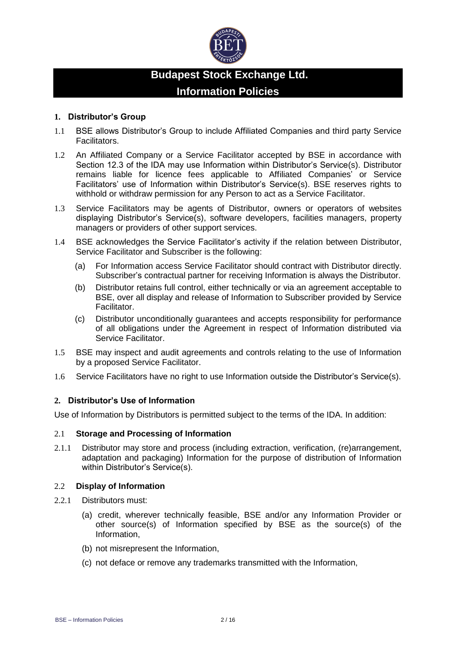

# **Budapest Stock Exchange Ltd. Information Policies**

#### **1. Distributor's Group**

- 1.1 BSE allows Distributor's Group to include Affiliated Companies and third party Service Facilitators.
- 1.2 An Affiliated Company or a Service Facilitator accepted by BSE in accordance with Section 12.3 of the IDA may use Information within Distributor's Service(s). Distributor remains liable for licence fees applicable to Affiliated Companies' or Service Facilitators' use of Information within Distributor's Service(s). BSE reserves rights to withhold or withdraw permission for any Person to act as a Service Facilitator.
- 1.3 Service Facilitators may be agents of Distributor, owners or operators of websites displaying Distributor's Service(s), software developers, facilities managers, property managers or providers of other support services.
- 1.4 BSE acknowledges the Service Facilitator's activity if the relation between Distributor, Service Facilitator and Subscriber is the following:
	- (a) For Information access Service Facilitator should contract with Distributor directly. Subscriber's contractual partner for receiving Information is always the Distributor.
	- (b) Distributor retains full control, either technically or via an agreement acceptable to BSE, over all display and release of Information to Subscriber provided by Service Facilitator.
	- (c) Distributor unconditionally guarantees and accepts responsibility for performance of all obligations under the Agreement in respect of Information distributed via Service Facilitator.
- 1.5 BSE may inspect and audit agreements and controls relating to the use of Information by a proposed Service Facilitator.
- 1.6 Service Facilitators have no right to use Information outside the Distributor's Service(s).

## **2. Distributor's Use of Information**

Use of Information by Distributors is permitted subject to the terms of the IDA. In addition:

#### 2.1 **Storage and Processing of Information**

2.1.1 Distributor may store and process (including extraction, verification, (re)arrangement, adaptation and packaging) Information for the purpose of distribution of Information within Distributor's Service(s).

#### 2.2 **Display of Information**

- 2.2.1 Distributors must:
	- (a) credit, wherever technically feasible, BSE and/or any Information Provider or other source(s) of Information specified by BSE as the source(s) of the Information,
	- (b) not misrepresent the Information,
	- (c) not deface or remove any trademarks transmitted with the Information,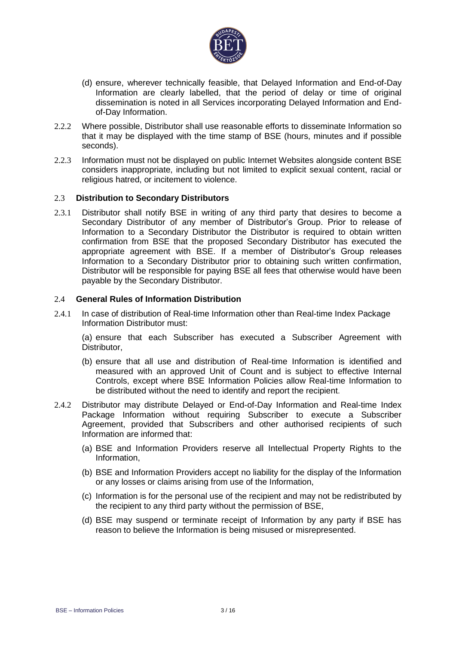

- (d) ensure, wherever technically feasible, that Delayed Information and End-of-Day Information are clearly labelled, that the period of delay or time of original dissemination is noted in all Services incorporating Delayed Information and Endof-Day Information.
- 2.2.2 Where possible, Distributor shall use reasonable efforts to disseminate Information so that it may be displayed with the time stamp of BSE (hours, minutes and if possible seconds).
- 2.2.3 Information must not be displayed on public Internet Websites alongside content BSE considers inappropriate, including but not limited to explicit sexual content, racial or religious hatred, or incitement to violence.

#### 2.3 **Distribution to Secondary Distributors**

2.3.1 Distributor shall notify BSE in writing of any third party that desires to become a Secondary Distributor of any member of Distributor's Group. Prior to release of Information to a Secondary Distributor the Distributor is required to obtain written confirmation from BSE that the proposed Secondary Distributor has executed the appropriate agreement with BSE. If a member of Distributor's Group releases Information to a Secondary Distributor prior to obtaining such written confirmation, Distributor will be responsible for paying BSE all fees that otherwise would have been payable by the Secondary Distributor.

#### 2.4 **General Rules of Information Distribution**

2.4.1 In case of distribution of Real-time Information other than Real-time Index Package Information Distributor must:

(a) ensure that each Subscriber has executed a Subscriber Agreement with Distributor,

- (b) ensure that all use and distribution of Real-time Information is identified and measured with an approved Unit of Count and is subject to effective Internal Controls, except where BSE Information Policies allow Real-time Information to be distributed without the need to identify and report the recipient.
- 2.4.2 Distributor may distribute Delayed or End-of-Day Information and Real-time Index Package Information without requiring Subscriber to execute a Subscriber Agreement, provided that Subscribers and other authorised recipients of such Information are informed that:
	- (a) BSE and Information Providers reserve all Intellectual Property Rights to the Information,
	- (b) BSE and Information Providers accept no liability for the display of the Information or any losses or claims arising from use of the Information,
	- (c) Information is for the personal use of the recipient and may not be redistributed by the recipient to any third party without the permission of BSE,
	- (d) BSE may suspend or terminate receipt of Information by any party if BSE has reason to believe the Information is being misused or misrepresented.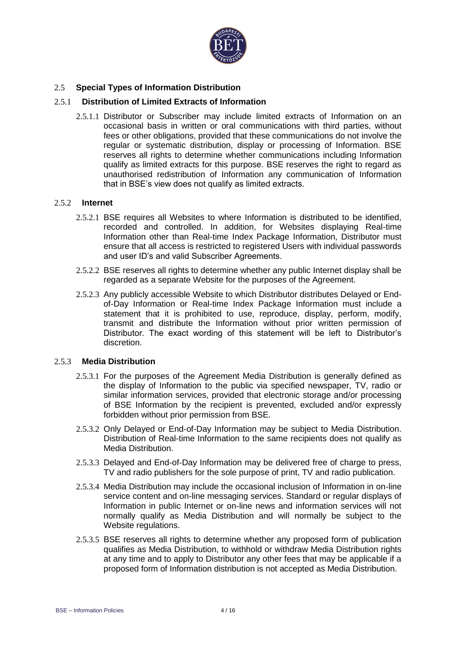

#### 2.5 **Special Types of Information Distribution**

#### 2.5.1 **Distribution of Limited Extracts of Information**

2.5.1.1 Distributor or Subscriber may include limited extracts of Information on an occasional basis in written or oral communications with third parties, without fees or other obligations, provided that these communications do not involve the regular or systematic distribution, display or processing of Information. BSE reserves all rights to determine whether communications including Information qualify as limited extracts for this purpose. BSE reserves the right to regard as unauthorised redistribution of Information any communication of Information that in BSE's view does not qualify as limited extracts.

#### 2.5.2 **Internet**

- 2.5.2.1 BSE requires all Websites to where Information is distributed to be identified, recorded and controlled. In addition, for Websites displaying Real-time Information other than Real-time Index Package Information, Distributor must ensure that all access is restricted to registered Users with individual passwords and user ID's and valid Subscriber Agreements.
- 2.5.2.2 BSE reserves all rights to determine whether any public Internet display shall be regarded as a separate Website for the purposes of the Agreement.
- 2.5.2.3 Any publicly accessible Website to which Distributor distributes Delayed or Endof-Day Information or Real-time Index Package Information must include a statement that it is prohibited to use, reproduce, display, perform, modify, transmit and distribute the Information without prior written permission of Distributor. The exact wording of this statement will be left to Distributor's discretion.

#### 2.5.3 **Media Distribution**

- 2.5.3.1 For the purposes of the Agreement Media Distribution is generally defined as the display of Information to the public via specified newspaper, TV, radio or similar information services, provided that electronic storage and/or processing of BSE Information by the recipient is prevented, excluded and/or expressly forbidden without prior permission from BSE.
- 2.5.3.2 Only Delayed or End-of-Day Information may be subject to Media Distribution. Distribution of Real-time Information to the same recipients does not qualify as Media Distribution.
- 2.5.3.3 Delayed and End-of-Day Information may be delivered free of charge to press, TV and radio publishers for the sole purpose of print, TV and radio publication.
- 2.5.3.4 Media Distribution may include the occasional inclusion of Information in on-line service content and on-line messaging services. Standard or regular displays of Information in public Internet or on-line news and information services will not normally qualify as Media Distribution and will normally be subject to the Website regulations.
- 2.5.3.5 BSE reserves all rights to determine whether any proposed form of publication qualifies as Media Distribution, to withhold or withdraw Media Distribution rights at any time and to apply to Distributor any other fees that may be applicable if a proposed form of Information distribution is not accepted as Media Distribution.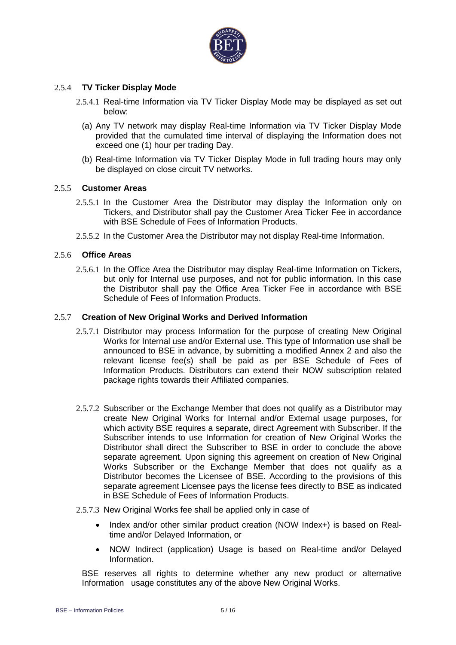

#### 2.5.4 **TV Ticker Display Mode**

- 2.5.4.1 Real-time Information via TV Ticker Display Mode may be displayed as set out below:
	- (a) Any TV network may display Real-time Information via TV Ticker Display Mode provided that the cumulated time interval of displaying the Information does not exceed one (1) hour per trading Day.
	- (b) Real-time Information via TV Ticker Display Mode in full trading hours may only be displayed on close circuit TV networks.

#### 2.5.5 **Customer Areas**

- 2.5.5.1 In the Customer Area the Distributor may display the Information only on Tickers, and Distributor shall pay the Customer Area Ticker Fee in accordance with BSE Schedule of Fees of Information Products.
- 2.5.5.2 In the Customer Area the Distributor may not display Real-time Information.

### 2.5.6 **Office Areas**

2.5.6.1 In the Office Area the Distributor may display Real-time Information on Tickers, but only for Internal use purposes, and not for public information. In this case the Distributor shall pay the Office Area Ticker Fee in accordance with BSE Schedule of Fees of Information Products.

#### 2.5.7 **Creation of New Original Works and Derived Information**

- 2.5.7.1 Distributor may process Information for the purpose of creating New Original Works for Internal use and/or External use. This type of Information use shall be announced to BSE in advance, by submitting a modified Annex 2 and also the relevant license fee(s) shall be paid as per BSE Schedule of Fees of Information Products. Distributors can extend their NOW subscription related package rights towards their Affiliated companies.
- 2.5.7.2 Subscriber or the Exchange Member that does not qualify as a Distributor may create New Original Works for Internal and/or External usage purposes, for which activity BSE requires a separate, direct Agreement with Subscriber. If the Subscriber intends to use Information for creation of New Original Works the Distributor shall direct the Subscriber to BSE in order to conclude the above separate agreement. Upon signing this agreement on creation of New Original Works Subscriber or the Exchange Member that does not qualify as a Distributor becomes the Licensee of BSE. According to the provisions of this separate agreement Licensee pays the license fees directly to BSE as indicated in BSE Schedule of Fees of Information Products.

#### 2.5.7.3 New Original Works fee shall be applied only in case of

- Index and/or other similar product creation (NOW Index+) is based on Realtime and/or Delayed Information, or
- NOW Indirect (application) Usage is based on Real-time and/or Delayed Information.

BSE reserves all rights to determine whether any new product or alternative Information usage constitutes any of the above New Original Works.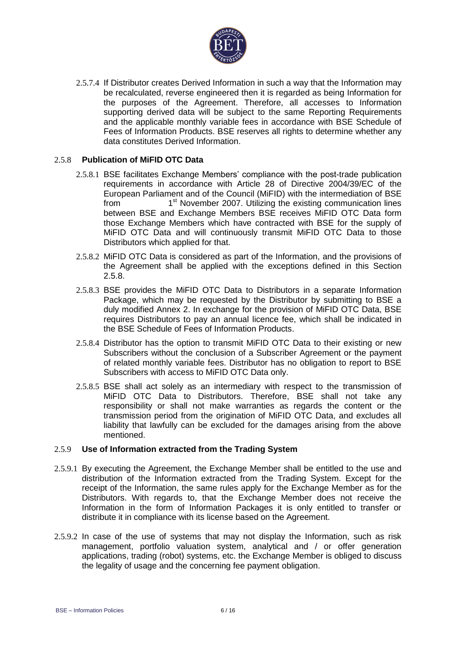

2.5.7.4 If Distributor creates Derived Information in such a way that the Information may be recalculated, reverse engineered then it is regarded as being Information for the purposes of the Agreement. Therefore, all accesses to Information supporting derived data will be subject to the same Reporting Requirements and the applicable monthly variable fees in accordance with BSE Schedule of Fees of Information Products. BSE reserves all rights to determine whether any data constitutes Derived Information.

#### 2.5.8 **Publication of MiFID OTC Data**

- 2.5.8.1 BSE facilitates Exchange Members' compliance with the post-trade publication requirements in accordance with Article 28 of Directive 2004/39/EC of the European Parliament and of the Council (MiFID) with the intermediation of BSE from 1<sup>st</sup> November 2007. Utilizing the existing communication lines between BSE and Exchange Members BSE receives MiFID OTC Data form those Exchange Members which have contracted with BSE for the supply of MiFID OTC Data and will continuously transmit MiFID OTC Data to those Distributors which applied for that.
- 2.5.8.2 MiFID OTC Data is considered as part of the Information, and the provisions of the Agreement shall be applied with the exceptions defined in this Section 2.5.8.
- 2.5.8.3 BSE provides the MiFID OTC Data to Distributors in a separate Information Package, which may be requested by the Distributor by submitting to BSE a duly modified Annex 2. In exchange for the provision of MiFID OTC Data, BSE requires Distributors to pay an annual licence fee, which shall be indicated in the BSE Schedule of Fees of Information Products.
- 2.5.8.4 Distributor has the option to transmit MiFID OTC Data to their existing or new Subscribers without the conclusion of a Subscriber Agreement or the payment of related monthly variable fees. Distributor has no obligation to report to BSE Subscribers with access to MiFID OTC Data only.
- 2.5.8.5 BSE shall act solely as an intermediary with respect to the transmission of MiFID OTC Data to Distributors. Therefore, BSE shall not take any responsibility or shall not make warranties as regards the content or the transmission period from the origination of MiFID OTC Data, and excludes all liability that lawfully can be excluded for the damages arising from the above mentioned.

#### 2.5.9 **Use of Information extracted from the Trading System**

- 2.5.9.1 By executing the Agreement, the Exchange Member shall be entitled to the use and distribution of the Information extracted from the Trading System. Except for the receipt of the Information, the same rules apply for the Exchange Member as for the Distributors. With regards to, that the Exchange Member does not receive the Information in the form of Information Packages it is only entitled to transfer or distribute it in compliance with its license based on the Agreement.
- 2.5.9.2 In case of the use of systems that may not display the Information, such as risk management, portfolio valuation system, analytical and / or offer generation applications, trading (robot) systems, etc. the Exchange Member is obliged to discuss the legality of usage and the concerning fee payment obligation.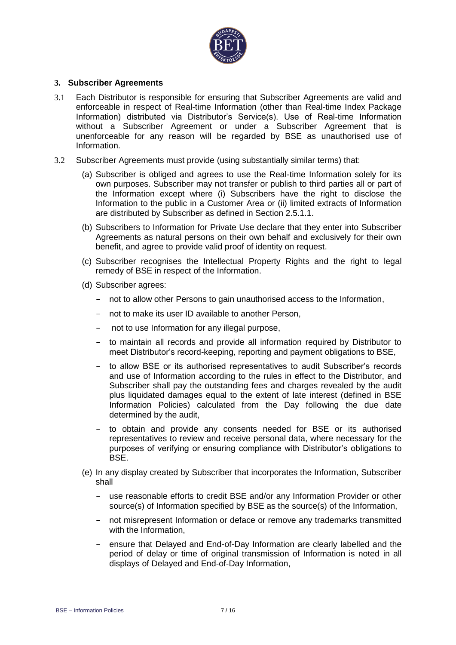

#### **3. Subscriber Agreements**

- 3.1 Each Distributor is responsible for ensuring that Subscriber Agreements are valid and enforceable in respect of Real-time Information (other than Real-time Index Package Information) distributed via Distributor's Service(s). Use of Real-time Information without a Subscriber Agreement or under a Subscriber Agreement that is unenforceable for any reason will be regarded by BSE as unauthorised use of Information.
- 3.2 Subscriber Agreements must provide (using substantially similar terms) that:
	- (a) Subscriber is obliged and agrees to use the Real-time Information solely for its own purposes. Subscriber may not transfer or publish to third parties all or part of the Information except where (i) Subscribers have the right to disclose the Information to the public in a Customer Area or (ii) limited extracts of Information are distributed by Subscriber as defined in Section 2.5.1.1.
	- (b) Subscribers to Information for Private Use declare that they enter into Subscriber Agreements as natural persons on their own behalf and exclusively for their own benefit, and agree to provide valid proof of identity on request.
	- (c) Subscriber recognises the Intellectual Property Rights and the right to legal remedy of BSE in respect of the Information.
	- (d) Subscriber agrees:
		- not to allow other Persons to gain unauthorised access to the Information,
		- not to make its user ID available to another Person,
		- not to use Information for any illegal purpose,
		- to maintain all records and provide all information required by Distributor to meet Distributor's record-keeping, reporting and payment obligations to BSE,
		- to allow BSE or its authorised representatives to audit Subscriber's records and use of Information according to the rules in effect to the Distributor, and Subscriber shall pay the outstanding fees and charges revealed by the audit plus liquidated damages equal to the extent of late interest (defined in BSE Information Policies) calculated from the Day following the due date determined by the audit,
		- to obtain and provide any consents needed for BSE or its authorised representatives to review and receive personal data, where necessary for the purposes of verifying or ensuring compliance with Distributor's obligations to BSE.
	- (e) In any display created by Subscriber that incorporates the Information, Subscriber shall
		- use reasonable efforts to credit BSE and/or any Information Provider or other source(s) of Information specified by BSE as the source(s) of the Information,
		- not misrepresent Information or deface or remove any trademarks transmitted with the Information,
		- ensure that Delayed and End-of-Day Information are clearly labelled and the period of delay or time of original transmission of Information is noted in all displays of Delayed and End-of-Day Information,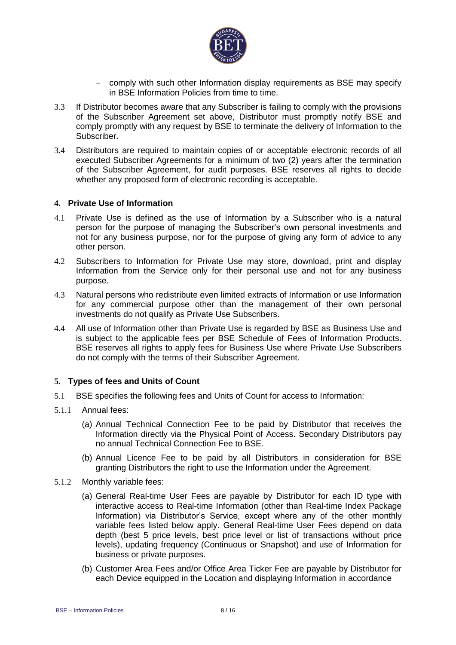

- comply with such other Information display requirements as BSE may specify in BSE Information Policies from time to time.
- 3.3 If Distributor becomes aware that any Subscriber is failing to comply with the provisions of the Subscriber Agreement set above, Distributor must promptly notify BSE and comply promptly with any request by BSE to terminate the delivery of Information to the Subscriber.
- 3.4 Distributors are required to maintain copies of or acceptable electronic records of all executed Subscriber Agreements for a minimum of two (2) years after the termination of the Subscriber Agreement, for audit purposes. BSE reserves all rights to decide whether any proposed form of electronic recording is acceptable.

#### **4. Private Use of Information**

- 4.1 Private Use is defined as the use of Information by a Subscriber who is a natural person for the purpose of managing the Subscriber's own personal investments and not for any business purpose, nor for the purpose of giving any form of advice to any other person.
- 4.2 Subscribers to Information for Private Use may store, download, print and display Information from the Service only for their personal use and not for any business purpose.
- 4.3 Natural persons who redistribute even limited extracts of Information or use Information for any commercial purpose other than the management of their own personal investments do not qualify as Private Use Subscribers.
- 4.4 All use of Information other than Private Use is regarded by BSE as Business Use and is subject to the applicable fees per BSE Schedule of Fees of Information Products. BSE reserves all rights to apply fees for Business Use where Private Use Subscribers do not comply with the terms of their Subscriber Agreement.

#### **5. Types of fees and Units of Count**

- 5.1 BSE specifies the following fees and Units of Count for access to Information:
- 5.1.1 Annual fees:
	- (a) Annual Technical Connection Fee to be paid by Distributor that receives the Information directly via the Physical Point of Access. Secondary Distributors pay no annual Technical Connection Fee to BSE.
	- (b) Annual Licence Fee to be paid by all Distributors in consideration for BSE granting Distributors the right to use the Information under the Agreement.
- 5.1.2 Monthly variable fees:
	- (a) General Real-time User Fees are payable by Distributor for each ID type with interactive access to Real-time Information (other than Real-time Index Package Information) via Distributor's Service, except where any of the other monthly variable fees listed below apply. General Real-time User Fees depend on data depth (best 5 price levels, best price level or list of transactions without price levels), updating frequency (Continuous or Snapshot) and use of Information for business or private purposes.
	- (b) Customer Area Fees and/or Office Area Ticker Fee are payable by Distributor for each Device equipped in the Location and displaying Information in accordance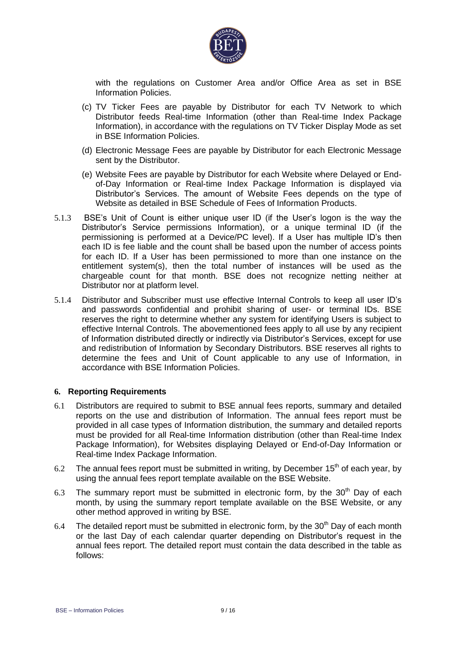

with the regulations on Customer Area and/or Office Area as set in BSE Information Policies.

- (c) TV Ticker Fees are payable by Distributor for each TV Network to which Distributor feeds Real-time Information (other than Real-time Index Package Information), in accordance with the regulations on TV Ticker Display Mode as set in BSE Information Policies.
- (d) Electronic Message Fees are payable by Distributor for each Electronic Message sent by the Distributor.
- (e) Website Fees are payable by Distributor for each Website where Delayed or Endof-Day Information or Real-time Index Package Information is displayed via Distributor's Services. The amount of Website Fees depends on the type of Website as detailed in BSE Schedule of Fees of Information Products.
- 5.1.3 BSE's Unit of Count is either unique user ID (if the User's logon is the way the Distributor's Service permissions Information), or a unique terminal ID (if the permissioning is performed at a Device/PC level). If a User has multiple ID's then each ID is fee liable and the count shall be based upon the number of access points for each ID. If a User has been permissioned to more than one instance on the entitlement system(s), then the total number of instances will be used as the chargeable count for that month. BSE does not recognize netting neither at Distributor nor at platform level.
- 5.1.4 Distributor and Subscriber must use effective Internal Controls to keep all user ID's and passwords confidential and prohibit sharing of user- or terminal IDs. BSE reserves the right to determine whether any system for identifying Users is subject to effective Internal Controls. The abovementioned fees apply to all use by any recipient of Information distributed directly or indirectly via Distributor's Services, except for use and redistribution of Information by Secondary Distributors. BSE reserves all rights to determine the fees and Unit of Count applicable to any use of Information, in accordance with BSE Information Policies.

#### **6. Reporting Requirements**

- 6.1 Distributors are required to submit to BSE annual fees reports, summary and detailed reports on the use and distribution of Information. The annual fees report must be provided in all case types of Information distribution, the summary and detailed reports must be provided for all Real-time Information distribution (other than Real-time Index Package Information), for Websites displaying Delayed or End-of-Day Information or Real-time Index Package Information.
- 6.2 The annual fees report must be submitted in writing, by December  $15<sup>th</sup>$  of each year, by using the annual fees report template available on the BSE Website.
- 6.3 The summary report must be submitted in electronic form, by the  $30<sup>th</sup>$  Day of each month, by using the summary report template available on the BSE Website, or any other method approved in writing by BSE.
- 6.4 The detailed report must be submitted in electronic form, by the  $30<sup>th</sup>$  Day of each month or the last Day of each calendar quarter depending on Distributor's request in the annual fees report. The detailed report must contain the data described in the table as follows: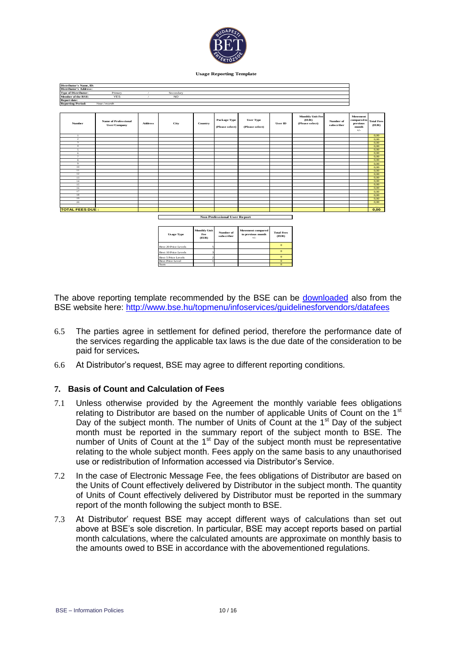

**Usage Reporting Template**

| Distributor's Name, ID:       |                                             |                |                                     |                                     |                                 |                                                        |                            |                                                     |                         |                                                       |                            |
|-------------------------------|---------------------------------------------|----------------|-------------------------------------|-------------------------------------|---------------------------------|--------------------------------------------------------|----------------------------|-----------------------------------------------------|-------------------------|-------------------------------------------------------|----------------------------|
| <b>Distributor's Address:</b> |                                             |                |                                     |                                     |                                 |                                                        |                            |                                                     |                         |                                                       |                            |
| <b>Type of Distributor:</b>   | Primary                                     | $\prime$       | Secondary                           |                                     |                                 |                                                        |                            |                                                     |                         |                                                       |                            |
| Member of the BSE:            | <b>YES</b>                                  |                | N <sub>O</sub>                      |                                     |                                 |                                                        |                            |                                                     |                         |                                                       |                            |
| <b>Report date:</b>           |                                             |                |                                     |                                     |                                 |                                                        |                            |                                                     |                         |                                                       |                            |
| <b>Reporting Period:</b>      | Year/month                                  |                |                                     |                                     |                                 |                                                        |                            |                                                     |                         |                                                       |                            |
|                               |                                             |                |                                     |                                     |                                 |                                                        |                            |                                                     |                         |                                                       |                            |
| Number                        | <b>Name of Professional</b><br>User/Company | <b>Address</b> | City                                | Country                             | Package Type<br>(Please select) | <b>User Type</b><br>(Please select)                    | User ID                    | <b>Monthly Unit Fee</b><br>(ELR)<br>(Please select) | Number of<br>subscriber | Movement<br>compared to<br>previous<br>month<br>$+/-$ | <b>Total Fees</b><br>(ELR) |
| $\mathbf{1}$                  |                                             |                |                                     |                                     |                                 |                                                        |                            |                                                     |                         |                                                       | 0,00                       |
| $\,$ 2 $\,$                   |                                             |                |                                     |                                     |                                 |                                                        |                            |                                                     |                         |                                                       | 0.00                       |
| $\overline{\mathbf{3}}$       |                                             |                |                                     |                                     |                                 |                                                        |                            |                                                     |                         |                                                       | 0,00                       |
| $\overline{4}$                |                                             |                |                                     |                                     |                                 |                                                        |                            |                                                     |                         |                                                       | 0,00                       |
| -5                            |                                             |                |                                     |                                     |                                 |                                                        |                            |                                                     |                         |                                                       | 0,00                       |
| 6                             |                                             |                |                                     |                                     |                                 |                                                        |                            |                                                     |                         |                                                       | 0,00                       |
| $\overline{7}$                |                                             |                |                                     |                                     |                                 |                                                        |                            |                                                     |                         |                                                       | 0,00                       |
| 8                             |                                             |                |                                     |                                     |                                 |                                                        |                            |                                                     |                         |                                                       | 0.00                       |
| $\overline{9}$                |                                             |                |                                     |                                     |                                 |                                                        |                            |                                                     |                         |                                                       | 0.00                       |
| 10<br>$\overline{11}$         |                                             |                |                                     |                                     |                                 |                                                        |                            |                                                     |                         |                                                       | 0,00                       |
| 12                            |                                             |                |                                     |                                     |                                 |                                                        |                            |                                                     |                         |                                                       | 0,00<br>0.00               |
| 13                            |                                             |                |                                     |                                     |                                 |                                                        |                            |                                                     |                         |                                                       | 0,00                       |
| 14                            |                                             |                |                                     |                                     |                                 |                                                        |                            |                                                     |                         |                                                       | 0,00                       |
| 15                            |                                             |                |                                     |                                     |                                 |                                                        |                            |                                                     |                         |                                                       | 0.00                       |
| 16                            |                                             |                |                                     |                                     |                                 |                                                        |                            |                                                     |                         |                                                       | 0,00                       |
| 17                            |                                             |                |                                     |                                     |                                 |                                                        |                            |                                                     |                         |                                                       | 0,00                       |
| 18                            |                                             |                |                                     |                                     |                                 |                                                        |                            |                                                     |                         |                                                       | 0.00                       |
| 19                            |                                             |                |                                     |                                     |                                 |                                                        |                            |                                                     |                         |                                                       | 0.00                       |
| 20                            |                                             |                |                                     |                                     |                                 |                                                        |                            |                                                     |                         |                                                       | 0,00                       |
|                               |                                             |                |                                     |                                     |                                 |                                                        |                            |                                                     |                         |                                                       |                            |
| <b>TOTAL FEES DUE :</b>       |                                             |                |                                     |                                     |                                 |                                                        |                            |                                                     |                         |                                                       | 0,00                       |
|                               |                                             |                | <b>Non Professional User Report</b> |                                     |                                 |                                                        |                            |                                                     |                         |                                                       |                            |
|                               |                                             |                |                                     |                                     |                                 |                                                        |                            |                                                     |                         |                                                       |                            |
|                               |                                             |                | <b>Usage Type</b>                   | <b>Monthly Unit</b><br>Fee<br>(ELR) | Number of<br>subscriber         | <b>Movement compared</b><br>to previous month<br>$+/-$ | <b>Total Fees</b><br>(ELR) |                                                     |                         |                                                       |                            |
|                               |                                             |                | Best 20 Price Levels                |                                     |                                 |                                                        | $\mathbf{O}$               |                                                     |                         |                                                       |                            |
|                               |                                             |                | Best 10 Price Levels                |                                     |                                 |                                                        | $\mathbf{o}$               |                                                     |                         |                                                       |                            |
|                               |                                             |                | Best 5 Price Levels                 |                                     |                                 |                                                        | $\mathbf{o}$               |                                                     |                         |                                                       |                            |
|                               |                                             |                | <b>Best Price Level</b>             |                                     |                                 |                                                        | $\mathbf{0}$               |                                                     |                         |                                                       |                            |
|                               |                                             |                | Sum                                 |                                     |                                 |                                                        | $\overline{0}$             |                                                     |                         |                                                       |                            |

The above reporting template recommended by the BSE can be [downloaded](http://www.bse.hu/data/cms97015/BSE_reporting_template_2009_v1.xls) also from the BSE website here: <http://www.bse.hu/topmenu/infoservices/guidelinesforvendors/datafees>

- 6.5 The parties agree in settlement for defined period, therefore the performance date of the services regarding the applicable tax laws is the due date of the consideration to be paid for services*.*
- 6.6 At Distributor's request, BSE may agree to different reporting conditions.

#### **7. Basis of Count and Calculation of Fees**

- 7.1 Unless otherwise provided by the Agreement the monthly variable fees obligations relating to Distributor are based on the number of applicable Units of Count on the 1<sup>st</sup> Day of the subject month. The number of Units of Count at the 1<sup>st</sup> Day of the subject month must be reported in the summary report of the subject month to BSE. The number of Units of Count at the  $1<sup>st</sup>$  Day of the subject month must be representative relating to the whole subject month. Fees apply on the same basis to any unauthorised use or redistribution of Information accessed via Distributor's Service.
- 7.2 In the case of Electronic Message Fee, the fees obligations of Distributor are based on the Units of Count effectively delivered by Distributor in the subject month. The quantity of Units of Count effectively delivered by Distributor must be reported in the summary report of the month following the subject month to BSE.
- 7.3 At Distributor' request BSE may accept different ways of calculations than set out above at BSE's sole discretion. In particular, BSE may accept reports based on partial month calculations, where the calculated amounts are approximate on monthly basis to the amounts owed to BSE in accordance with the abovementioned regulations.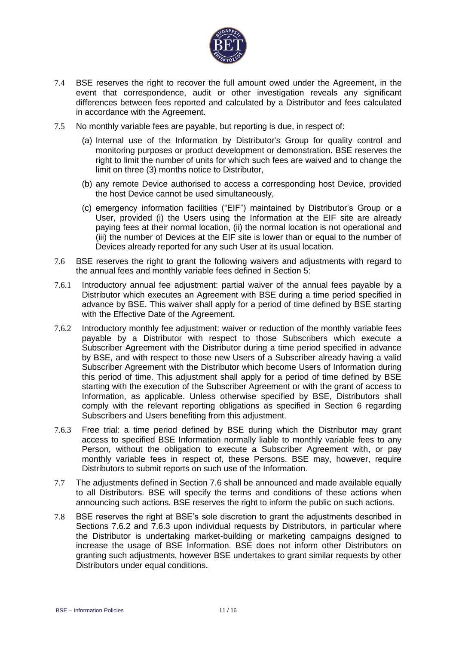

- 7.4 BSE reserves the right to recover the full amount owed under the Agreement, in the event that correspondence, audit or other investigation reveals any significant differences between fees reported and calculated by a Distributor and fees calculated in accordance with the Agreement.
- 7.5 No monthly variable fees are payable, but reporting is due, in respect of:
	- (a) Internal use of the Information by Distributor's Group for quality control and monitoring purposes or product development or demonstration. BSE reserves the right to limit the number of units for which such fees are waived and to change the limit on three (3) months notice to Distributor,
	- (b) any remote Device authorised to access a corresponding host Device, provided the host Device cannot be used simultaneously,
	- (c) emergency information facilities ("EIF") maintained by Distributor's Group or a User, provided (i) the Users using the Information at the EIF site are already paying fees at their normal location, (ii) the normal location is not operational and (iii) the number of Devices at the EIF site is lower than or equal to the number of Devices already reported for any such User at its usual location.
- 7.6 BSE reserves the right to grant the following waivers and adjustments with regard to the annual fees and monthly variable fees defined in Section 5:
- 7.6.1 Introductory annual fee adjustment: partial waiver of the annual fees payable by a Distributor which executes an Agreement with BSE during a time period specified in advance by BSE. This waiver shall apply for a period of time defined by BSE starting with the Effective Date of the Agreement.
- 7.6.2 Introductory monthly fee adjustment: waiver or reduction of the monthly variable fees payable by a Distributor with respect to those Subscribers which execute a Subscriber Agreement with the Distributor during a time period specified in advance by BSE, and with respect to those new Users of a Subscriber already having a valid Subscriber Agreement with the Distributor which become Users of Information during this period of time. This adjustment shall apply for a period of time defined by BSE starting with the execution of the Subscriber Agreement or with the grant of access to Information, as applicable. Unless otherwise specified by BSE, Distributors shall comply with the relevant reporting obligations as specified in Section 6 regarding Subscribers and Users benefiting from this adjustment.
- 7.6.3 Free trial: a time period defined by BSE during which the Distributor may grant access to specified BSE Information normally liable to monthly variable fees to any Person, without the obligation to execute a Subscriber Agreement with, or pay monthly variable fees in respect of, these Persons. BSE may, however, require Distributors to submit reports on such use of the Information.
- 7.7 The adjustments defined in Section 7.6 shall be announced and made available equally to all Distributors. BSE will specify the terms and conditions of these actions when announcing such actions. BSE reserves the right to inform the public on such actions.
- 7.8 BSE reserves the right at BSE's sole discretion to grant the adjustments described in Sections 7.6.2 and 7.6.3 upon individual requests by Distributors, in particular where the Distributor is undertaking market-building or marketing campaigns designed to increase the usage of BSE Information. BSE does not inform other Distributors on granting such adjustments, however BSE undertakes to grant similar requests by other Distributors under equal conditions.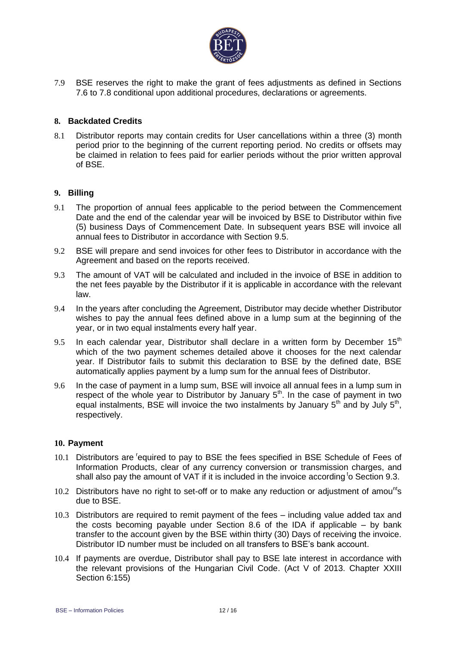

7.9 BSE reserves the right to make the grant of fees adjustments as defined in Sections 7.6 to 7.8 conditional upon additional procedures, declarations or agreements.

#### **8. Backdated Credits**

8.1 Distributor reports may contain credits for User cancellations within a three (3) month period prior to the beginning of the current reporting period. No credits or offsets may be claimed in relation to fees paid for earlier periods without the prior written approval of BSE.

#### **9. Billing**

- 9.1 The proportion of annual fees applicable to the period between the Commencement Date and the end of the calendar year will be invoiced by BSE to Distributor within five (5) business Days of Commencement Date. In subsequent years BSE will invoice all annual fees to Distributor in accordance with Section 9.5.
- 9.2 BSE will prepare and send invoices for other fees to Distributor in accordance with the Agreement and based on the reports received.
- 9.3 The amount of VAT will be calculated and included in the invoice of BSE in addition to the net fees payable by the Distributor if it is applicable in accordance with the relevant law.
- 9.4 In the years after concluding the Agreement, Distributor may decide whether Distributor wishes to pay the annual fees defined above in a lump sum at the beginning of the year, or in two equal instalments every half year.
- 9.5 In each calendar year, Distributor shall declare in a written form by December  $15<sup>th</sup>$ which of the two payment schemes detailed above it chooses for the next calendar year. If Distributor fails to submit this declaration to BSE by the defined date, BSE automatically applies payment by a lump sum for the annual fees of Distributor.
- 9.6 In the case of payment in a lump sum, BSE will invoice all annual fees in a lump sum in respect of the whole year to Distributor by January  $5<sup>th</sup>$ . In the case of payment in two equal instalments, BSE will invoice the two instalments by January  $5<sup>th</sup>$  and by July  $5<sup>th</sup>$ , respectively.

#### **10. Payment**

- 10.1 Distributors are <sup>r</sup>equired to pay to BSE the fees specified in BSE Schedule of Fees of Information Products, clear of any currency conversion or transmission charges, and shall also pay the amount of VAT if it is included in the invoice according to Section 9.3.
- 10.2 Distributors have no right to set-off or to make any reduction or adjustment of amou<sup>nt</sup>s due to BSE.
- 10.3 Distributors are required to remit payment of the fees including value added tax and the costs becoming payable under Section 8.6 of the IDA if applicable – by bank transfer to the account given by the BSE within thirty (30) Days of receiving the invoice. Distributor ID number must be included on all transfers to BSE's bank account.
- 10.4 If payments are overdue, Distributor shall pay to BSE late interest in accordance with the relevant provisions of the Hungarian Civil Code. (Act V of 2013. Chapter XXIII Section 6:155)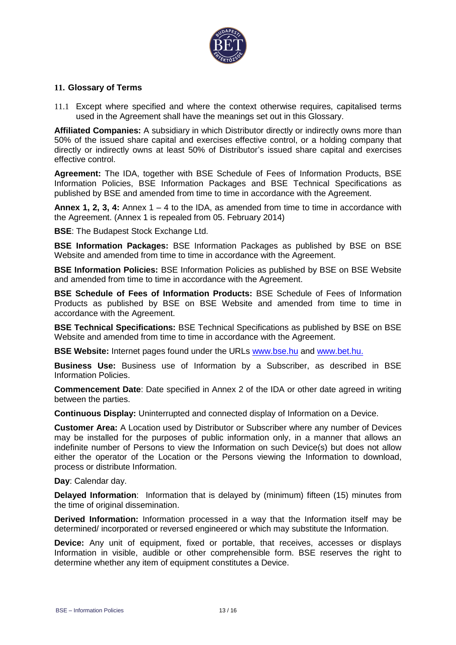

#### **11. Glossary of Terms**

11.1 Except where specified and where the context otherwise requires, capitalised terms used in the Agreement shall have the meanings set out in this Glossary.

**Affiliated Companies:** A subsidiary in which Distributor directly or indirectly owns more than 50% of the issued share capital and exercises effective control, or a holding company that directly or indirectly owns at least 50% of Distributor's issued share capital and exercises effective control.

**Agreement:** The IDA, together with BSE Schedule of Fees of Information Products, BSE Information Policies, BSE Information Packages and BSE Technical Specifications as published by BSE and amended from time to time in accordance with the Agreement.

**Annex 1, 2, 3, 4:** Annex 1 – 4 to the IDA, as amended from time to time in accordance with the Agreement. (Annex 1 is repealed from 05. February 2014)

**BSE**: The Budapest Stock Exchange Ltd.

**BSE Information Packages:** BSE Information Packages as published by BSE on BSE Website and amended from time to time in accordance with the Agreement.

**BSE Information Policies:** BSE Information Policies as published by BSE on BSE Website and amended from time to time in accordance with the Agreement.

**BSE Schedule of Fees of Information Products:** BSE Schedule of Fees of Information Products as published by BSE on BSE Website and amended from time to time in accordance with the Agreement.

**BSE Technical Specifications:** BSE Technical Specifications as published by BSE on BSE Website and amended from time to time in accordance with the Agreement.

**BSE Website:** Internet pages found under the URLs [www.bse.hu](http://www.bse.hu/) and [www.bet.hu.](http://www.bet.hu/)

**Business Use:** Business use of Information by a Subscriber, as described in BSE Information Policies.

**Commencement Date**: Date specified in Annex 2 of the IDA or other date agreed in writing between the parties.

**Continuous Display:** Uninterrupted and connected display of Information on a Device.

**Customer Area:** A Location used by Distributor or Subscriber where any number of Devices may be installed for the purposes of public information only, in a manner that allows an indefinite number of Persons to view the Information on such Device(s) but does not allow either the operator of the Location or the Persons viewing the Information to download, process or distribute Information.

**Day**: Calendar day.

**Delayed Information**: Information that is delayed by (minimum) fifteen (15) minutes from the time of original dissemination.

**Derived Information:** Information processed in a way that the Information itself may be determined/ incorporated or reversed engineered or which may substitute the Information.

**Device:** Any unit of equipment, fixed or portable, that receives, accesses or displays Information in visible, audible or other comprehensible form. BSE reserves the right to determine whether any item of equipment constitutes a Device.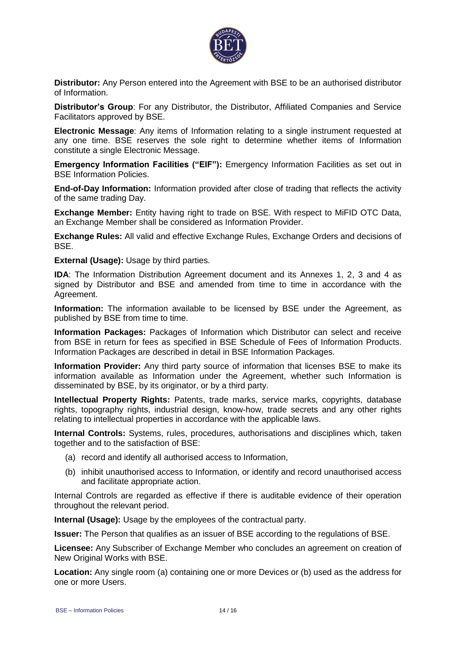

**Distributor:** Any Person entered into the Agreement with BSE to be an authorised distributor of Information.

**Distributor's Group**: For any Distributor, the Distributor, Affiliated Companies and Service Facilitators approved by BSE.

**Electronic Message**: Any items of Information relating to a single instrument requested at any one time. BSE reserves the sole right to determine whether items of Information constitute a single Electronic Message.

**Emergency Information Facilities ("EIF"):** Emergency Information Facilities as set out in BSE Information Policies.

**End-of-Day Information:** Information provided after close of trading that reflects the activity of the same trading Day.

**Exchange Member:** Entity having right to trade on BSE. With respect to MiFID OTC Data, an Exchange Member shall be considered as Information Provider.

**Exchange Rules:** All valid and effective Exchange Rules, Exchange Orders and decisions of BSE.

**External (Usage):** Usage by third parties.

**IDA:** The Information Distribution Agreement document and its Annexes 1, 2, 3 and 4 as signed by Distributor and BSE and amended from time to time in accordance with the Agreement.

**Information:** The information available to be licensed by BSE under the Agreement, as published by BSE from time to time.

**Information Packages:** Packages of Information which Distributor can select and receive from BSE in return for fees as specified in BSE Schedule of Fees of Information Products. Information Packages are described in detail in BSE Information Packages.

**Information Provider:** Any third party source of information that licenses BSE to make its information available as Information under the Agreement, whether such Information is disseminated by BSE, by its originator, or by a third party.

**Intellectual Property Rights:** Patents, trade marks, service marks, copyrights, database rights, topography rights, industrial design, know-how, trade secrets and any other rights relating to intellectual properties in accordance with the applicable laws.

**Internal Controls:** Systems, rules, procedures, authorisations and disciplines which, taken together and to the satisfaction of BSE:

- (a) record and identify all authorised access to Information,
- (b) inhibit unauthorised access to Information, or identify and record unauthorised access and facilitate appropriate action.

Internal Controls are regarded as effective if there is auditable evidence of their operation throughout the relevant period.

**Internal (Usage):** Usage by the employees of the contractual party.

**Issuer:** The Person that qualifies as an issuer of BSE according to the regulations of BSE.

**Licensee:** Any Subscriber of Exchange Member who concludes an agreement on creation of New Original Works with BSE.

**Location:** Any single room (a) containing one or more Devices or (b) used as the address for one or more Users.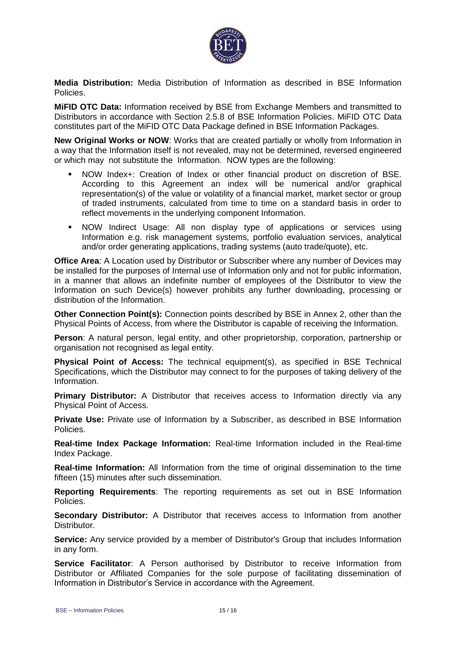

**Media Distribution:** Media Distribution of Information as described in BSE Information Policies.

**MiFID OTC Data:** Information received by BSE from Exchange Members and transmitted to Distributors in accordance with Section 2.5.8 of BSE Information Policies. MiFID OTC Data constitutes part of the MiFID OTC Data Package defined in BSE Information Packages.

**New Original Works or NOW**: Works that are created partially or wholly from Information in a way that the Information itself is not revealed, may not be determined, reversed engineered or which may not substitute the Information. NOW types are the following:

- NOW Index+: Creation of Index or other financial product on discretion of BSE. According to this Agreement an index will be numerical and/or graphical representation(s) of the value or volatility of a financial market, market sector or group of traded instruments, calculated from time to time on a standard basis in order to reflect movements in the underlying component Information.
- NOW Indirect Usage: All non display type of applications or services using Information e.g. risk management systems, portfolio evaluation services, analytical and/or order generating applications, trading systems (auto trade/quote), etc.

**Office Area**: A Location used by Distributor or Subscriber where any number of Devices may be installed for the purposes of Internal use of Information only and not for public information, in a manner that allows an indefinite number of employees of the Distributor to view the Information on such Device(s) however prohibits any further downloading, processing or distribution of the Information.

**Other Connection Point(s):** Connection points described by BSE in Annex 2, other than the Physical Points of Access, from where the Distributor is capable of receiving the Information.

**Person**: A natural person, legal entity, and other proprietorship, corporation, partnership or organisation not recognised as legal entity.

**Physical Point of Access:** The technical equipment(s), as specified in BSE Technical Specifications, which the Distributor may connect to for the purposes of taking delivery of the Information.

**Primary Distributor:** A Distributor that receives access to Information directly via any Physical Point of Access.

**Private Use:** Private use of Information by a Subscriber, as described in BSE Information Policies.

**Real-time Index Package Information:** Real-time Information included in the Real-time Index Package.

**Real-time Information:** All Information from the time of original dissemination to the time fifteen (15) minutes after such dissemination.

**Reporting Requirements**: The reporting requirements as set out in BSE Information Policies.

**Secondary Distributor:** A Distributor that receives access to Information from another Distributor.

**Service:** Any service provided by a member of Distributor's Group that includes Information in any form.

**Service Facilitator**: A Person authorised by Distributor to receive Information from Distributor or Affiliated Companies for the sole purpose of facilitating dissemination of Information in Distributor's Service in accordance with the Agreement.